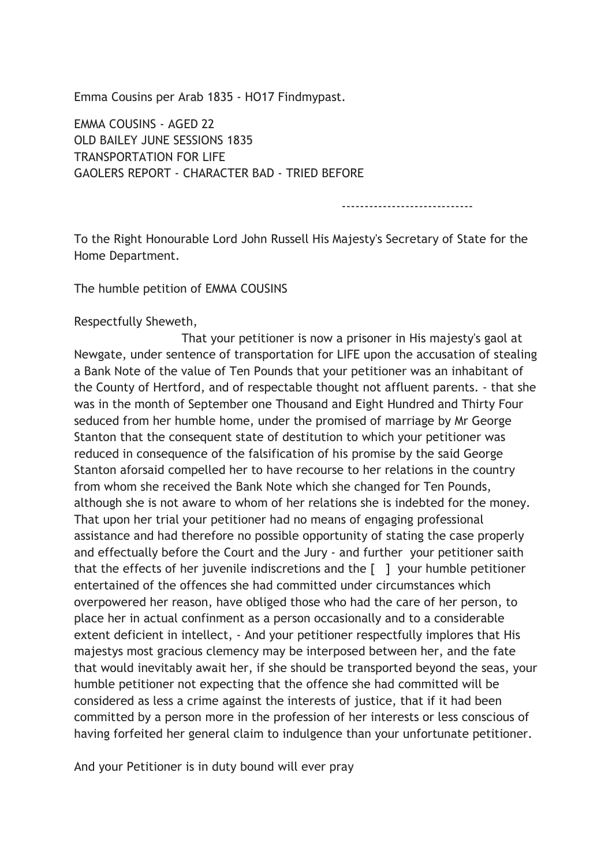Emma Cousins per Arab 1835 - HO17 Findmypast.

EMMA COUSINS - AGED 22 OLD BAILEY JUNE SESSIONS 1835 TRANSPORTATION FOR LIFE GAOLERS REPORT - CHARACTER BAD - TRIED BEFORE

-----------------------------

To the Right Honourable Lord John Russell His Majesty's Secretary of State for the Home Department.

The humble petition of EMMA COUSINS

## Respectfully Sheweth,

 That your petitioner is now a prisoner in His majesty's gaol at Newgate, under sentence of transportation for LIFE upon the accusation of stealing a Bank Note of the value of Ten Pounds that your petitioner was an inhabitant of the County of Hertford, and of respectable thought not affluent parents. - that she was in the month of September one Thousand and Eight Hundred and Thirty Four seduced from her humble home, under the promised of marriage by Mr George Stanton that the consequent state of destitution to which your petitioner was reduced in consequence of the falsification of his promise by the said George Stanton aforsaid compelled her to have recourse to her relations in the country from whom she received the Bank Note which she changed for Ten Pounds, although she is not aware to whom of her relations she is indebted for the money. That upon her trial your petitioner had no means of engaging professional assistance and had therefore no possible opportunity of stating the case properly and effectually before the Court and the Jury - and further your petitioner saith that the effects of her juvenile indiscretions and the  $\lceil$   $\rceil$  your humble petitioner entertained of the offences she had committed under circumstances which overpowered her reason, have obliged those who had the care of her person, to place her in actual confinment as a person occasionally and to a considerable extent deficient in intellect, - And your petitioner respectfully implores that His majestys most gracious clemency may be interposed between her, and the fate that would inevitably await her, if she should be transported beyond the seas, your humble petitioner not expecting that the offence she had committed will be considered as less a crime against the interests of justice, that if it had been committed by a person more in the profession of her interests or less conscious of having forfeited her general claim to indulgence than your unfortunate petitioner.

And your Petitioner is in duty bound will ever pray